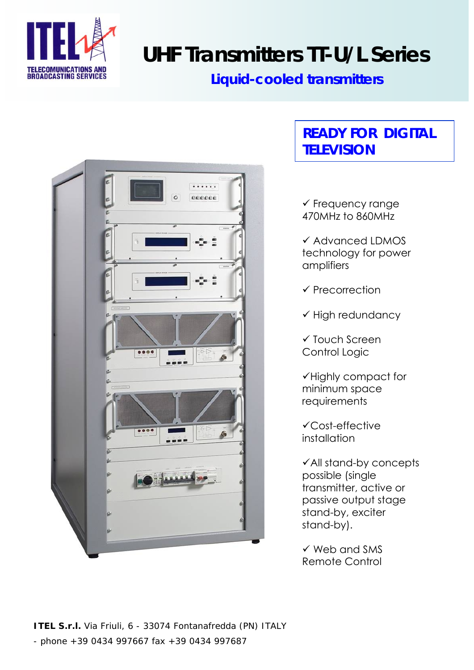

# **UHF Transmitters TT-U/L Series**

## **Liquid-cooled transmitters**



## **READY FOR DIGITAL TELEVISION**

 $\checkmark$  Frequency range 470MHz to 860MHz

 $\checkmark$  Advanced LDMOS technology for power amplifiers

 $\checkmark$  Precorrection

 $\checkmark$  High redundancy

 $\checkmark$  Touch Screen Control Logic

9Highly compact for minimum space requirements

 $\checkmark$ Cost-effective installation

 $\checkmark$  All stand-by concepts possible (single transmitter, active or passive output stage stand-by, exciter stand-by).

 $\checkmark$  Web and SMS Remote Control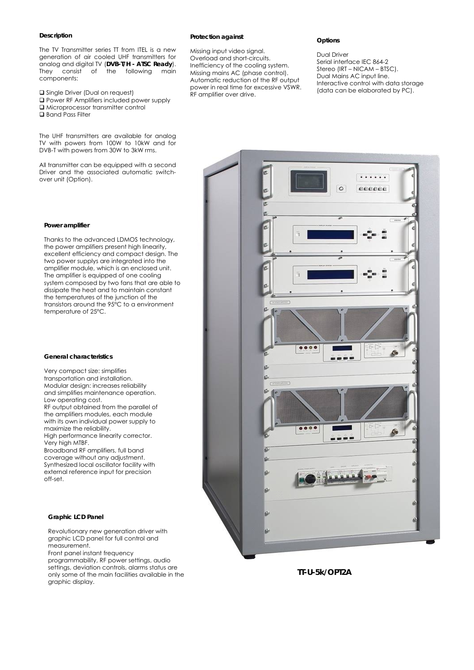#### **Description**

The TV Transmitter series TT from ITEL is a new generation of air cooled UHF transmitters for analog and digital TV (**DVB-T/H - ATSC Ready**). They consist of the following main components:

- **Q** Single Driver (Dual on request)
- Power RF Amplifiers included power supply
- $\square$  Microprocessor transmitter control
- Band Pass Filter

The UHF transmitters are available for analog TV with powers from 100W to 10kW and for DVB-T with powers from 30W to 3kW rms.

All transmitter can be equipped with a second Driver and the associated automatic switchover unit (Option).

#### **Protection against**

Missing input video signal. Overload and short-circuits. Inefficiency of the cooling system. Missing mains AC (phase control). Automatic reduction of the RF output power in real time for excessive VSWR. RF amplifier over drive.

#### **Options**

Dual Driver Serial interface IEC 864-2 Stereo (IRT – NICAM – BTSC). Dual Mains AC input line. Interactive control with data storage (data can be elaborated by PC).



#### **Power amplifier**

Thanks to the advanced LDMOS technology, the power amplifiers present high linearity, excellent efficiency and compact design. The two power supplys are integrated into the amplifier module, which is an enclosed unit. The amplifier is equipped of one cooling system composed by two fans that are able to dissipate the heat and to maintain constant the temperatures of the junction of the transistors around the 95°C to a environment temperature of 25°C.

#### **General characteristics**

Very compact size: simplifies transportation and installation. Modular design: increases reliability and simplifies maintenance operation. Low operating cost. RF output obtained from the parallel of the amplifiers modules, each module

with its own individual power supply to maximize the reliability. High performance linearity corrector.

Very high MTBF.

Broadband RF amplifiers, full band coverage without any adjustment. Synthesized local oscillator facility with external reference input for precision off-set.

#### **Graphic LCD Panel**

Revolutionary new generation driver with graphic LCD panel for full control and measurement.

Front panel instant frequency

programmability, RF power settings, audio settings, deviation controls, alarms status are only some of the main facilities available in the graphic display.

**TT-U-5k/OPT2A**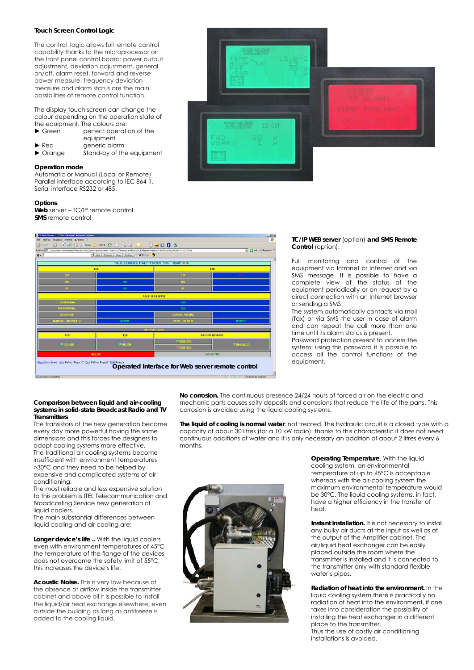#### **Touch Screen Control Logic**

The control logic allows full remote control capability thanks to the microprocessor on the front panel control board: power output adjustment, deviation adjustment, general on/off, alarm reset, forward and reverse power measure, frequency deviation measure and alarm status are the main possibilities of remote control function.

The display touch screen can change the colour depending on the operation state of the equipment. The colours are:

► Green perfect operation of the equipment ► Red generic alarm

► Orange Stand-by of the equipment

#### **Operation mode**

Automatic or Manual (Local or Remote) Parallel interface according to IEC 864-1. Serial interface RS232 or 485.

#### **Options**

**Web** server – TC/IP remote control **SMS** remote control



#### **TC/IP WEB server** (option) **and SMS Remote**  Control (option).

Full monitoring and control of the equipment via Intranet or Internet and via SMS message. It is possible to have a complete view of the status of the equipment periodically or on request by a direct connection with an Internet browser or sending a SMS.

The system automatically contacts via mail (fax) or via SMS the user in case of alarm and can repeat the call more than one time until its alarm status is present. Password protection present to access the system: using this password it is possible to access all the control functions of the equipment.

#### **Comparison between liquid and air-cooling systems in solid-state Broadcast Radio and TV Transmitters**

The transistors of the new generation become every day more powerful having the same dimensions and this forces the designers to adopt cooling systems more effective. The traditional air cooling systems become insufficient with environment temperatures >30°C and they need to be helped by expensive and complicated systems of air conditioning.

The most reliable and less expensive solution to this problem is ITEL Telecommunication and Broadcasting Service new generation of liquid coolers.

The main substantial differences between liquid cooling and air cooling are:

**Longer device's life .. With the liquid coolers** even with environment temperatures of 45°C the temperature of the flange of the devices does not overcome the safety limit of 55°C, this increases the device's life.

**Acoustic Noise.** This is very low because of the absence of airflow inside the transmitter cabinet and above all it is possible to install the liquid/air heat exchange elsewhere; even outside the building as long as antifreeze is added to the cooling liquid.

**No corrosion.** The continuous presence 24/24 hours of forced air on the electric and mechanic parts causes salty deposits and corrosions that reduce the life of the parts. This corrosion is avoided using the liquid cooling systems.

**The liquid of cooling is normal water**, not treated. The hydraulic circuit is a closed type with a capacity of about 30 litres (for a 10 kW radio): thanks to this characteristic it does not need continuous additions of water and it is only necessary an addition of about 2 litres every 6 months.



**Operating Temperature.** With the liquid cooling system, an environmental temperature of up to 45°C is acceptable whereas with the air-cooling system the maximum environmental temperature would be 30°C. The liquid cooling systems, in fact, have a higher efficiency in the transfer of heat.

**Instant installation.** It is not necessary to install any bulky air ducts at the input as well as at the output of the Amplifier cabinet. The air/liquid heat exchanger can be easily placed outside the room where the transmitter is installed and it is connected to the transmitter only with standard flexible water's pipes.

**Radiation of heat into the environment.** In the liquid cooling system there is practically no radiation of heat into the environment, if one takes into consideration the possibility of installing the heat exchanger in a different place to the transmitter. Thus the use of costly air conditioning installations is avoided.